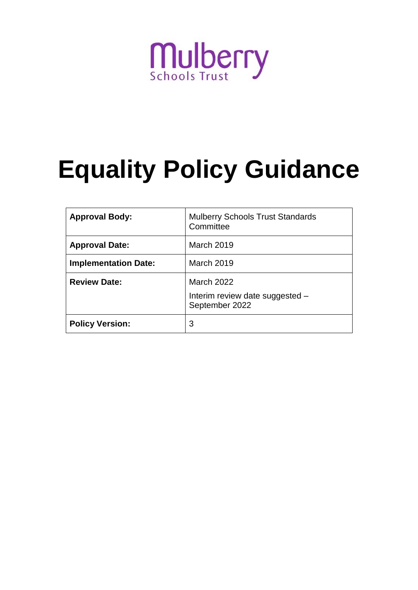# **Mulberry**

# **Equality Policy Guidance**

| <b>Approval Body:</b>       | <b>Mulberry Schools Trust Standards</b><br>Committee            |
|-----------------------------|-----------------------------------------------------------------|
| <b>Approval Date:</b>       | <b>March 2019</b>                                               |
| <b>Implementation Date:</b> | <b>March 2019</b>                                               |
| <b>Review Date:</b>         | March 2022<br>Interim review date suggested -<br>September 2022 |
| <b>Policy Version:</b>      | 3                                                               |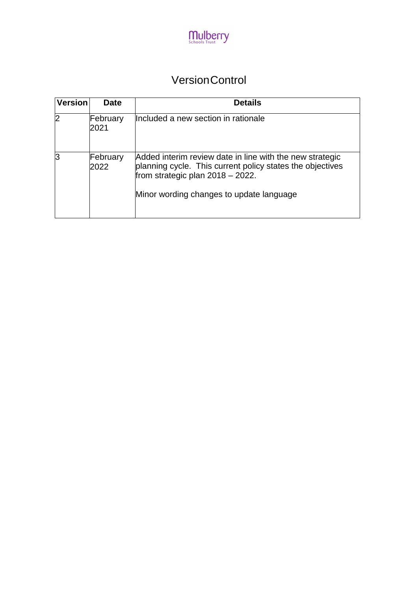

### VersionControl

| <b>Version</b> | <b>Date</b>      | <b>Details</b>                                                                                                                                                                                           |
|----------------|------------------|----------------------------------------------------------------------------------------------------------------------------------------------------------------------------------------------------------|
| 2              | February<br>2021 | Included a new section in rationale                                                                                                                                                                      |
| 13             | February<br>2022 | Added interim review date in line with the new strategic<br>planning cycle. This current policy states the objectives<br>from strategic plan $2018 - 2022$ .<br>Minor wording changes to update language |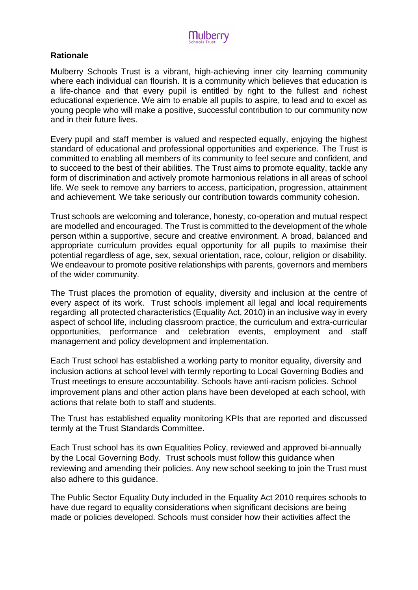

#### **Rationale**

Mulberry Schools Trust is a vibrant, high-achieving inner city learning community where each individual can flourish. It is a community which believes that education is a life-chance and that every pupil is entitled by right to the fullest and richest educational experience. We aim to enable all pupils to aspire, to lead and to excel as young people who will make a positive, successful contribution to our community now and in their future lives.

Every pupil and staff member is valued and respected equally, enjoying the highest standard of educational and professional opportunities and experience. The Trust is committed to enabling all members of its community to feel secure and confident, and to succeed to the best of their abilities. The Trust aims to promote equality, tackle any form of discrimination and actively promote harmonious relations in all areas of school life. We seek to remove any barriers to access, participation, progression, attainment and achievement. We take seriously our contribution towards community cohesion.

Trust schools are welcoming and tolerance, honesty, co-operation and mutual respect are modelled and encouraged. The Trust is committed to the development of the whole person within a supportive, secure and creative environment. A broad, balanced and appropriate curriculum provides equal opportunity for all pupils to maximise their potential regardless of age, sex, sexual orientation, race, colour, religion or disability. We endeavour to promote positive relationships with parents, governors and members of the wider community.

The Trust places the promotion of equality, diversity and inclusion at the centre of every aspect of its work. Trust schools implement all legal and local requirements regarding all protected characteristics (Equality Act, 2010) in an inclusive way in every aspect of school life, including classroom practice, the curriculum and extra-curricular opportunities, performance and celebration events, employment and staff management and policy development and implementation.

Each Trust school has established a working party to monitor equality, diversity and inclusion actions at school level with termly reporting to Local Governing Bodies and Trust meetings to ensure accountability. Schools have anti-racism policies. School improvement plans and other action plans have been developed at each school, with actions that relate both to staff and students.

The Trust has established equality monitoring KPIs that are reported and discussed termly at the Trust Standards Committee.

Each Trust school has its own Equalities Policy, reviewed and approved bi-annually by the Local Governing Body. Trust schools must follow this guidance when reviewing and amending their policies. Any new school seeking to join the Trust must also adhere to this guidance.

The Public Sector Equality Duty included in the Equality Act 2010 requires schools to have due regard to equality considerations when significant decisions are being made or policies developed. Schools must consider how their activities affect the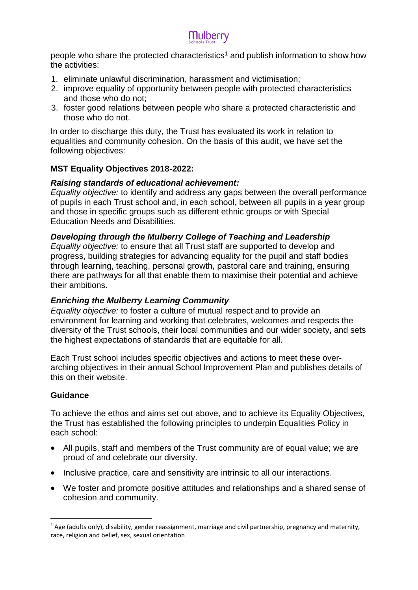people who share the protected characteristics<sup>1</sup> and publish information to show how the activities:

- 1. eliminate unlawful discrimination, harassment and victimisation;
- 2. improve equality of opportunity between people with protected characteristics and those who do not;
- 3. foster good relations between people who share a protected characteristic and those who do not.

In order to discharge this duty, the Trust has evaluated its work in relation to equalities and community cohesion. On the basis of this audit, we have set the following objectives:

#### **MST Equality Objectives 2018-2022:**

#### *Raising standards of educational achievement:*

*Equality objective:* to identify and address any gaps between the overall performance of pupils in each Trust school and, in each school, between all pupils in a year group and those in specific groups such as different ethnic groups or with Special Education Needs and Disabilities.

#### *Developing through the Mulberry College of Teaching and Leadership*

*Equality objective:* to ensure that all Trust staff are supported to develop and progress, building strategies for advancing equality for the pupil and staff bodies through learning, teaching, personal growth, pastoral care and training, ensuring there are pathways for all that enable them to maximise their potential and achieve their ambitions.

#### *Enriching the Mulberry Learning Community*

*Equality objective:* to foster a culture of mutual respect and to provide an environment for learning and working that celebrates, welcomes and respects the diversity of the Trust schools, their local communities and our wider society, and sets the highest expectations of standards that are equitable for all.

Each Trust school includes specific objectives and actions to meet these overarching objectives in their annual School Improvement Plan and publishes details of this on their website.

#### **Guidance**

**.** 

To achieve the ethos and aims set out above, and to achieve its Equality Objectives, the Trust has established the following principles to underpin Equalities Policy in each school:

- All pupils, staff and members of the Trust community are of equal value; we are proud of and celebrate our diversity.
- Inclusive practice, care and sensitivity are intrinsic to all our interactions.
- We foster and promote positive attitudes and relationships and a shared sense of cohesion and community.

 $1$  Age (adults only), disability, gender reassignment, marriage and civil partnership, pregnancy and maternity, race, religion and belief, sex, sexual orientation